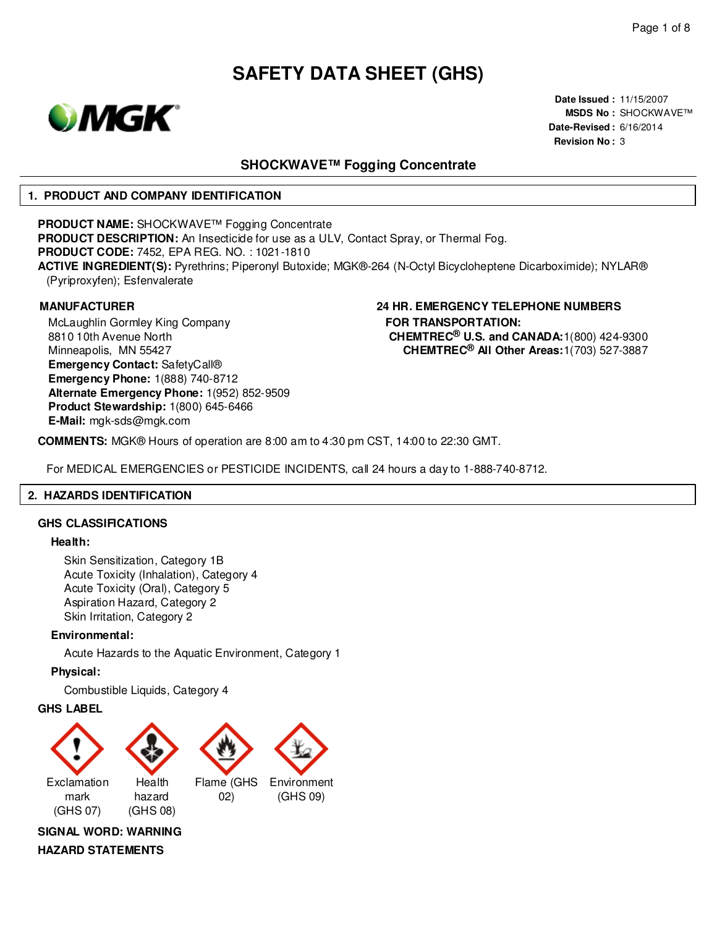

**Date Issued :** 11/15/2007 **MSDS No :** SHOCKWAVE™ **Date-Revised :** 6/16/2014 **Revision No :** 3

### **SHOCKWAVE™ Fogging Concentrate**

#### **1. PRODUCT AND COMPANY IDENTIFICATION**

**PRODUCT NAME:** SHOCKWAVE™ Fogging Concentrate **PRODUCT DESCRIPTION:** An Insecticide for use as a ULV, Contact Spray, or Thermal Fog. **PRODUCT CODE:** 7452, EPA REG. NO. : 1021-1810 **ACTIVE INGREDIENT(S):** Pyrethrins; Piperonyl Butoxide; MGK®-264 (N-Octyl Bicycloheptene Dicarboximide); NYLAR® (Pyriproxyfen); Esfenvalerate

McLaughlin Gormley King Company 8810 10th Avenue North Minneapolis, MN 55427 **Emergency Contact:** SafetyCall® **Emergency Phone:** 1(888) 740-8712 **Alternate Emergency Phone:** 1(952) 852-9509 **Product Stewardship:** 1(800) 645-6466 **E-Mail:** mgk-sds@mgk.com

#### **MANUFACTURER 24 HR. EMERGENCY TELEPHONE NUMBERS FOR TRANSPORTATION: CHEMTREC® U.S. and CANADA:**1(800) 424-9300 **CHEMTREC® All Other Areas:**1(703) 527-3887

**COMMENTS:** MGK® Hours of operation are 8:00 am to 4:30 pm CST, 14:00 to 22:30 GMT.

For MEDICAL EMERGENCIES or PESTICIDE INCIDENTS, call 24 hours a day to 1-888-740-8712.

### **2. HAZARDS IDENTIFICATION**

#### **GHS CLASSIFICATIONS**

#### **Health:**

Skin Sensitization, Category 1B Acute Toxicity (Inhalation), Category 4 Acute Toxicity (Oral), Category 5 Aspiration Hazard, Category 2 Skin Irritation, Category 2

#### **Environmental:**

Acute Hazards to the Aquatic Environment, Category 1

#### **Physical:**

Combustible Liquids, Category 4

#### **GHS LABEL**



**SIGNAL WORD: WARNING**

**HAZARD STATEMENTS**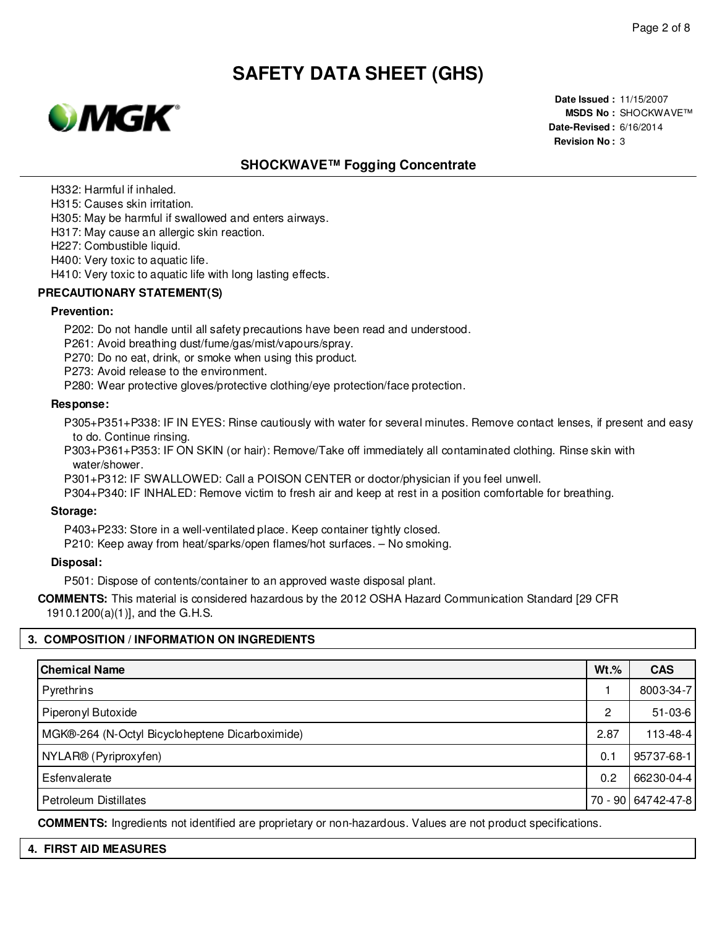

**Date Issued :** 11/15/2007 **MSDS No :** SHOCKWAVE™ **Date-Revised :** 6/16/2014 **Revision No :** 3

# **SHOCKWAVE™ Fogging Concentrate**

H332: Harmful if inhaled.

H315: Causes skin irritation.

H305: May be harmful if swallowed and enters airways.

H317: May cause an allergic skin reaction.

H227: Combustible liquid.

H400: Very toxic to aquatic life.

H410: Very toxic to aquatic life with long lasting effects.

#### **PRECAUTIONARY STATEMENT(S)**

#### **Prevention:**

P202: Do not handle until all safety precautions have been read and understood.

P261: Avoid breathing dust/fume/gas/mist/vapours/spray.

P270: Do no eat, drink, or smoke when using this product.

P273: Avoid release to the environment.

P280: Wear protective gloves/protective clothing/eye protection/face protection.

#### **Response:**

P305+P351+P338: IF IN EYES: Rinse cautiously with water for several minutes. Remove contact lenses, if present and easy to do. Continue rinsing.

P303+P361+P353: IF ON SKIN (or hair): Remove/Take off immediately all contaminated clothing. Rinse skin with water/shower.

P301+P312: IF SWALLOWED: Call a POISON CENTER or doctor/physician if you feel unwell.

P304+P340: IF INHALED: Remove victim to fresh air and keep at rest in a position comfortable for breathing.

#### **Storage:**

P403+P233: Store in a well-ventilated place. Keep container tightly closed.

P210: Keep away from heat/sparks/open flames/hot surfaces. – No smoking.

#### **Disposal:**

P501: Dispose of contents/container to an approved waste disposal plant.

**COMMENTS:** This material is considered hazardous by the 2012 OSHA Hazard Communication Standard [29 CFR 1910.1200(a)(1)], and the G.H.S.

#### **3. COMPOSITION / INFORMATION ON INGREDIENTS**

| <b>Chemical Name</b>                            | $Wt.\%$ | <b>CAS</b>           |
|-------------------------------------------------|---------|----------------------|
| Pyrethrins                                      |         | 8003-34-7            |
| Piperonyl Butoxide                              | 2       | $51 - 03 - 6$        |
| MGK®-264 (N-Octyl Bicycloheptene Dicarboximide) | 2.87    | $113 - 48 - 4$       |
| NYLAR® (Pyriproxyfen)                           | 0.1     | 95737-68-1           |
| Esfenvalerate                                   | 0.2     | 66230-04-4           |
| <b>Petroleum Distillates</b>                    |         | 70 - 90   64742-47-8 |

**COMMENTS:** Ingredients not identified are proprietary or non-hazardous. Values are not product specifications.

| -4. | <b>FIRST AID MEASURES</b> |  |  |  |  |
|-----|---------------------------|--|--|--|--|
|-----|---------------------------|--|--|--|--|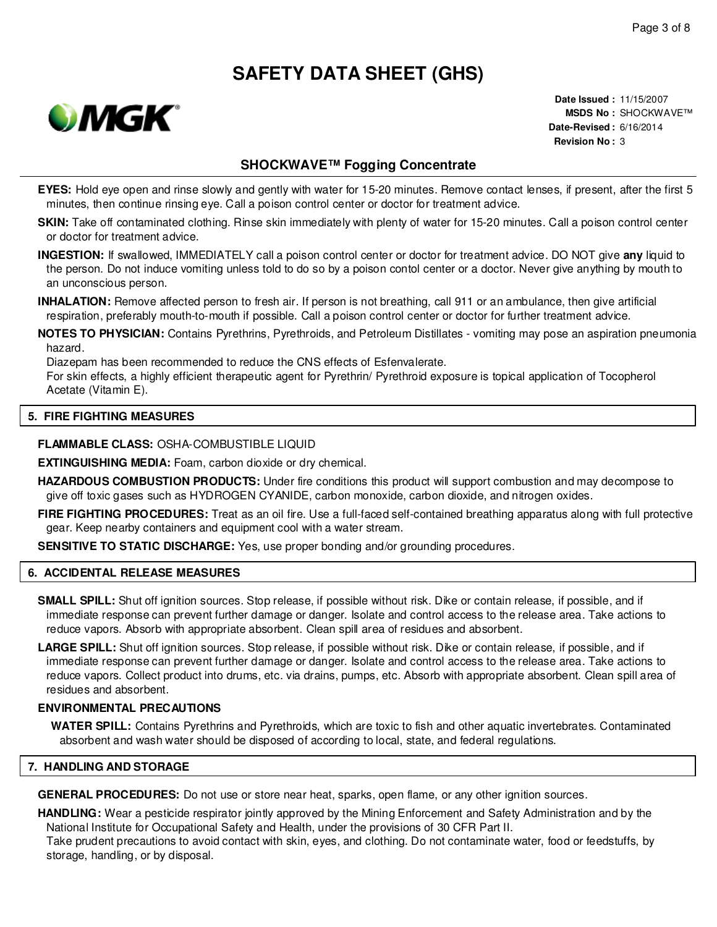

**Date Issued :** 11/15/2007 **MSDS No :** SHOCKWAVE™ **Date-Revised :** 6/16/2014 **Revision No :** 3

### **SHOCKWAVE™ Fogging Concentrate**

- **EYES:** Hold eye open and rinse slowly and gently with water for 15-20 minutes. Remove contact lenses, if present, after the first 5 minutes, then continue rinsing eye. Call a poison control center or doctor for treatment advice.
- **SKIN:** Take off contaminated clothing. Rinse skin immediately with plenty of water for 15-20 minutes. Call a poison control center or doctor for treatment advice.
- **INGESTION:** If swallowed, IMMEDIATELY call a poison control center or doctor for treatment advice. DO NOT give **any** liquid to the person. Do not induce vomiting unless told to do so by a poison contol center or a doctor. Never give anything by mouth to an unconscious person.
- **INHALATION:** Remove affected person to fresh air. If person is not breathing, call 911 or an ambulance, then give artificial respiration, preferably mouth-to-mouth if possible. Call a poison control center or doctor for further treatment advice.
- **NOTES TO PHYSICIAN:** Contains Pyrethrins, Pyrethroids, and Petroleum Distillates vomiting may pose an aspiration pneumonia hazard.

Diazepam has been recommended to reduce the CNS effects of Esfenvalerate.

For skin effects, a highly efficient therapeutic agent for Pyrethrin/ Pyrethroid exposure is topical application of Tocopherol Acetate (Vitamin E).

#### **5. FIRE FIGHTING MEASURES**

#### **FLAMMABLE CLASS:** OSHA-COMBUSTIBLE LIQUID

**EXTINGUISHING MEDIA:** Foam, carbon dioxide or dry chemical.

- **HAZARDOUS COMBUSTION PRODUCTS:** Under fire conditions this product will support combustion and may decompose to give off toxic gases such as HYDROGEN CYANIDE, carbon monoxide, carbon dioxide, and nitrogen oxides.
- **FIRE FIGHTING PROCEDURES:** Treat as an oil fire. Use a full-faced self-contained breathing apparatus along with full protective gear. Keep nearby containers and equipment cool with a water stream.

**SENSITIVE TO STATIC DISCHARGE:** Yes, use proper bonding and/or grounding procedures.

#### **6. ACCIDENTAL RELEASE MEASURES**

- **SMALL SPILL:** Shut off ignition sources. Stop release, if possible without risk. Dike or contain release, if possible, and if immediate response can prevent further damage or danger. Isolate and control access to the release area. Take actions to reduce vapors. Absorb with appropriate absorbent. Clean spill area of residues and absorbent.
- **LARGE SPILL:** Shut off ignition sources. Stop release, if possible without risk. Dike or contain release, if possible, and if immediate response can prevent further damage or danger. Isolate and control access to the release area. Take actions to reduce vapors. Collect product into drums, etc. via drains, pumps, etc. Absorb with appropriate absorbent. Clean spill area of residues and absorbent.

#### **ENVIRONMENTAL PRECAUTIONS**

**WATER SPILL:** Contains Pyrethrins and Pyrethroids, which are toxic to fish and other aquatic invertebrates. Contaminated absorbent and wash water should be disposed of according to local, state, and federal regulations.

#### **7. HANDLING AND STORAGE**

**GENERAL PROCEDURES:** Do not use or store near heat, sparks, open flame, or any other ignition sources.

**HANDLING:** Wear a pesticide respirator jointly approved by the Mining Enforcement and Safety Administration and by the National Institute for Occupational Safety and Health, under the provisions of 30 CFR Part II.

Take prudent precautions to avoid contact with skin, eyes, and clothing. Do not contaminate water, food or feedstuffs, by storage, handling, or by disposal.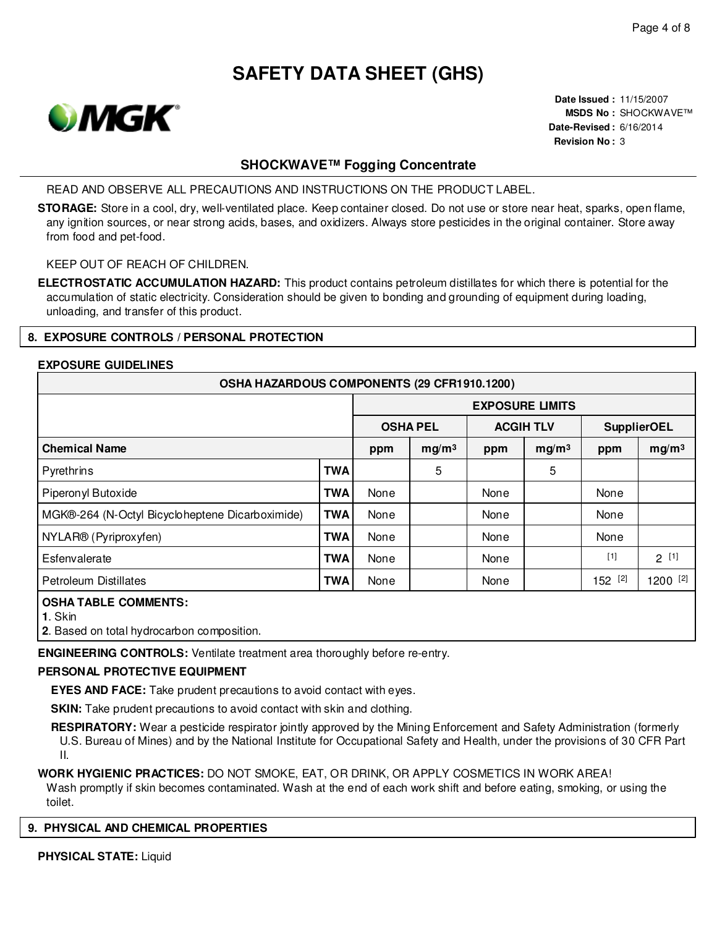

**Date Issued :** 11/15/2007 **MSDS No :** SHOCKWAVE™ **Date-Revised :** 6/16/2014 **Revision No :** 3

# **SHOCKWAVE™ Fogging Concentrate**

READ AND OBSERVE ALL PRECAUTIONS AND INSTRUCTIONS ON THE PRODUCT LABEL.

**STORAGE:** Store in a cool, dry, well-ventilated place. Keep container closed. Do not use or store near heat, sparks, open flame, any ignition sources, or near strong acids, bases, and oxidizers. Always store pesticides in the original container. Store away from food and pet-food.

### KEEP OUT OF REACH OF CHILDREN.

**ELECTROSTATIC ACCUMULATION HAZARD:** This product contains petroleum distillates for which there is potential for the accumulation of static electricity. Consideration should be given to bonding and grounding of equipment during loading, unloading, and transfer of this product.

#### **8. EXPOSURE CONTROLS / PERSONAL PROTECTION**

#### **EXPOSURE GUIDELINES**

| OSHA HAZARDOUS COMPONENTS (29 CFR1910.1200)     |                        |                 |                   |                  |                   |                    |                   |  |  |  |  |
|-------------------------------------------------|------------------------|-----------------|-------------------|------------------|-------------------|--------------------|-------------------|--|--|--|--|
|                                                 | <b>EXPOSURE LIMITS</b> |                 |                   |                  |                   |                    |                   |  |  |  |  |
|                                                 |                        | <b>OSHA PEL</b> |                   | <b>ACGIH TLV</b> |                   | <b>SupplierOEL</b> |                   |  |  |  |  |
| <b>Chemical Name</b>                            |                        | ppm             | mg/m <sup>3</sup> | ppm              | mg/m <sup>3</sup> | ppm                | mg/m <sup>3</sup> |  |  |  |  |
| Pyrethrins                                      | <b>TWA</b>             |                 | 5                 |                  | 5                 |                    |                   |  |  |  |  |
| Piperonyl Butoxide                              | <b>TWA</b>             | None            |                   | None             |                   | None               |                   |  |  |  |  |
| MGK®-264 (N-Octyl Bicycloheptene Dicarboximide) | <b>TWA</b>             | None            |                   | None             |                   | None               |                   |  |  |  |  |
| NYLAR® (Pyriproxyfen)                           | <b>TWA</b>             | None            |                   | None             |                   | None               |                   |  |  |  |  |
| Esfenvalerate                                   | <b>TWA</b>             | None            |                   | None             |                   | $[1]$              | $2^{[1]}$         |  |  |  |  |
| Petroleum Distillates                           | <b>TWA</b>             | None            |                   | None             |                   | 152 [2]            | 1200 [2]          |  |  |  |  |
| <b>OSHA TABLE COMMENTS:</b>                     |                        |                 |                   |                  |                   |                    |                   |  |  |  |  |

**1**. Skin

**2**. Based on total hydrocarbon composition.

**ENGINEERING CONTROLS:** Ventilate treatment area thoroughly before re-entry.

#### **PERSONAL PROTECTIVE EQUIPMENT**

**EYES AND FACE:** Take prudent precautions to avoid contact with eyes.

**SKIN:** Take prudent precautions to avoid contact with skin and clothing.

**RESPIRATORY:** Wear a pesticide respirator jointly approved by the Mining Enforcement and Safety Administration (formerly U.S. Bureau of Mines) and by the National Institute for Occupational Safety and Health, under the provisions of 30 CFR Part II.

**WORK HYGIENIC PRACTICES:** DO NOT SMOKE, EAT, OR DRINK, OR APPLY COSMETICS IN WORK AREA!

Wash promptly if skin becomes contaminated. Wash at the end of each work shift and before eating, smoking, or using the toilet.

#### **9. PHYSICAL AND CHEMICAL PROPERTIES**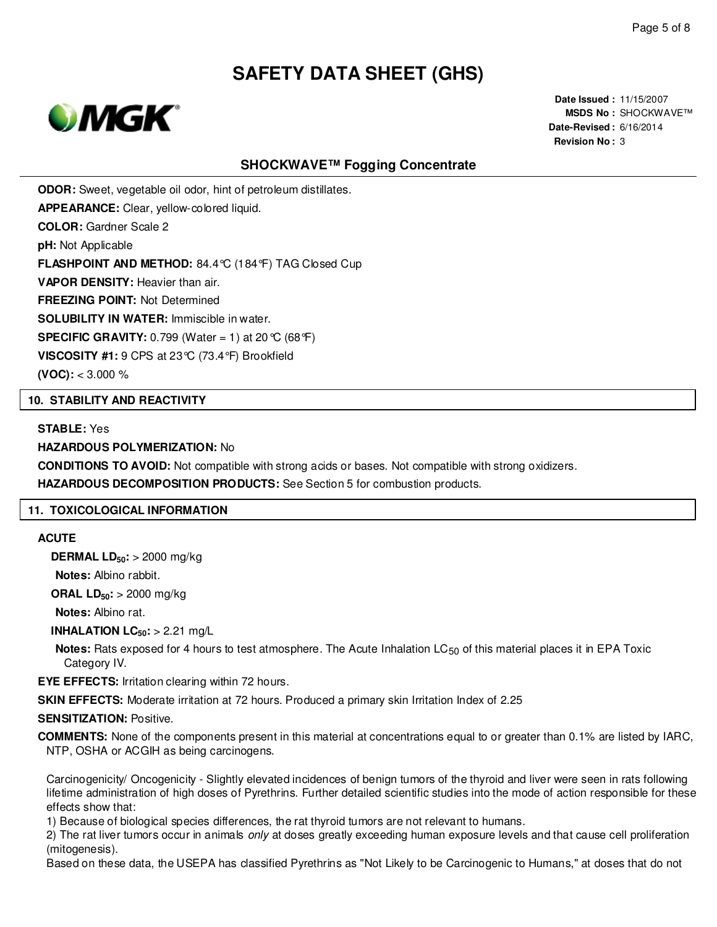

**Date Issued :** 11/15/2007 **MSDS No :** SHOCKWAVE™ **Date-Revised :** 6/16/2014 **Revision No :** 3

### **SHOCKWAVE™ Fogging Concentrate**

**ODOR:** Sweet, vegetable oil odor, hint of petroleum distillates.

**APPEARANCE:** Clear, yellow-colored liquid.

**COLOR:** Gardner Scale 2

**pH:** Not Applicable

**FLASHPOINT AND METHOD:** 84.4°C (184°F) TAG Closed Cup

**VAPOR DENSITY:** Heavier than air.

**FREEZING POINT:** Not Determined

**SOLUBILITY IN WATER:** Immiscible in water.

**SPECIFIC GRAVITY:** 0.799 (Water = 1) at 20 °C (68 °F)

**VISCOSITY #1:** 9 CPS at 23°C (73.4°F) Brookfield

**(VOC):** < 3.000 %

#### **10. STABILITY AND REACTIVITY**

#### **STABLE:** Yes

#### **HAZARDOUS POLYMERIZATION:** No

**CONDITIONS TO AVOID:** Not compatible with strong acids or bases. Not compatible with strong oxidizers.

**HAZARDOUS DECOMPOSITION PRODUCTS:** See Section 5 for combustion products.

#### **11. TOXICOLOGICAL INFORMATION**

#### **ACUTE**

**DERMAL LD50:** > 2000 mg/kg

**Notes:** Albino rabbit.

**ORAL LD50:** > 2000 mg/kg

**Notes:** Albino rat.

**INHALATION LC50:** > 2.21 mg/L

**Notes:** Rats exposed for 4 hours to test atmosphere. The Acute Inhalation LC<sub>50</sub> of this material places it in EPA Toxic Category IV.

**EYE EFFECTS:** Irritation clearing within 72 hours.

**SKIN EFFECTS:** Moderate irritation at 72 hours. Produced a primary skin Irritation Index of 2.25

#### **SENSITIZATION:** Positive.

**COMMENTS:** None of the components present in this material at concentrations equal to or greater than 0.1% are listed by IARC, NTP, OSHA or ACGIH as being carcinogens.

Carcinogenicity/ Oncogenicity - Slightly elevated incidences of benign tumors of the thyroid and liver were seen in rats following lifetime administration of high doses of Pyrethrins. Further detailed scientific studies into the mode of action responsible for these effects show that:

1) Because of biological species differences, the rat thyroid tumors are not relevant to humans.

2) The rat liver tumors occur in animals only at doses greatly exceeding human exposure levels and that cause cell proliferation (mitogenesis).

Based on these data, the USEPA has classified Pyrethrins as "Not Likely to be Carcinogenic to Humans," at doses that do not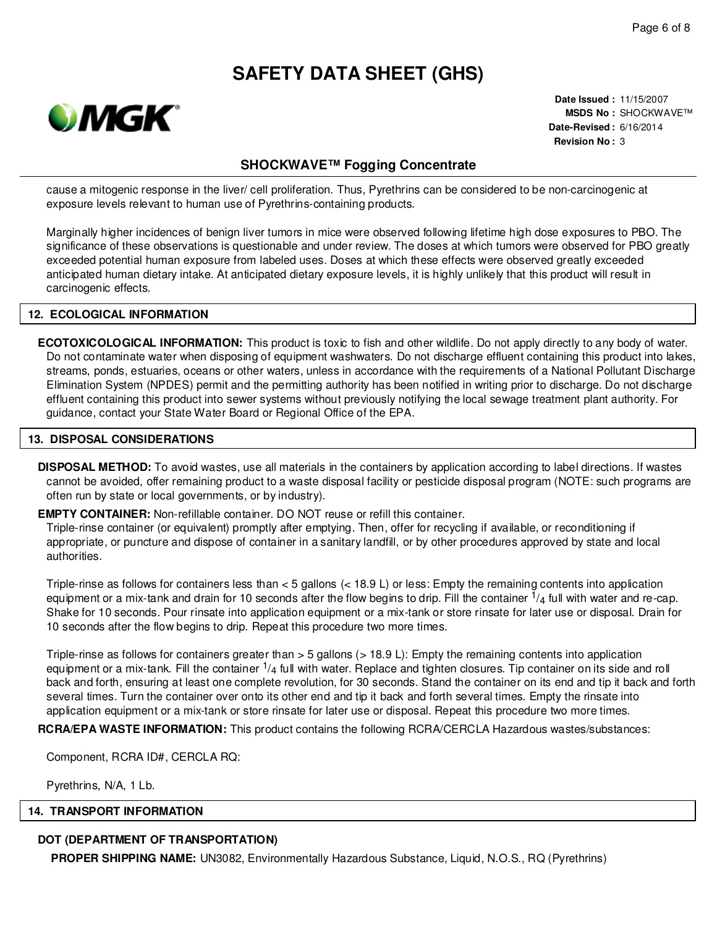

**Date Issued :** 11/15/2007 **MSDS No :** SHOCKWAVE™ **Date-Revised :** 6/16/2014 **Revision No :** 3

### **SHOCKWAVE™ Fogging Concentrate**

cause a mitogenic response in the liver/ cell proliferation. Thus, Pyrethrins can be considered to be non-carcinogenic at exposure levels relevant to human use of Pyrethrins-containing products.

Marginally higher incidences of benign liver tumors in mice were observed following lifetime high dose exposures to PBO. The significance of these observations is questionable and under review. The doses at which tumors were observed for PBO greatly exceeded potential human exposure from labeled uses. Doses at which these effects were observed greatly exceeded anticipated human dietary intake. At anticipated dietary exposure levels, it is highly unlikely that this product will result in carcinogenic effects.

#### **12. ECOLOGICAL INFORMATION**

**ECOTOXICOLOGICAL INFORMATION:** This product is toxic to fish and other wildlife. Do not apply directly to any body of water. Do not contaminate water when disposing of equipment washwaters. Do not discharge effluent containing this product into lakes, streams, ponds, estuaries, oceans or other waters, unless in accordance with the requirements of a National Pollutant Discharge Elimination System (NPDES) permit and the permitting authority has been notified in writing prior to discharge. Do not discharge effluent containing this product into sewer systems without previously notifying the local sewage treatment plant authority. For guidance, contact your State Water Board or Regional Office of the EPA.

#### **13. DISPOSAL CONSIDERATIONS**

**DISPOSAL METHOD:** To avoid wastes, use all materials in the containers by application according to label directions. If wastes cannot be avoided, offer remaining product to a waste disposal facility or pesticide disposal program (NOTE: such programs are often run by state or local governments, or by industry).

**EMPTY CONTAINER:** Non-refillable container. DO NOT reuse or refill this container.

Triple-rinse container (or equivalent) promptly after emptying. Then, offer for recycling if available, or reconditioning if appropriate, or puncture and dispose of container in a sanitary landfill, or by other procedures approved by state and local authorities.

Triple-rinse as follows for containers less than < 5 gallons (< 18.9 L) or less: Empty the remaining contents into application equipment or a mix-tank and drain for 10 seconds after the flow begins to drip. Fill the container  $\frac{1}{4}$  full with water and re-cap. Shake for 10 seconds. Pour rinsate into application equipment or a mix-tank or store rinsate for later use or disposal. Drain for 10 seconds after the flow begins to drip. Repeat this procedure two more times.

Triple-rinse as follows for containers greater than > 5 gallons (> 18.9 L): Empty the remaining contents into application equipment or a mix-tank. Fill the container  $\frac{1}{4}$  full with water. Replace and tighten closures. Tip container on its side and roll back and forth, ensuring at least one complete revolution, for 30 seconds. Stand the container on its end and tip it back and forth several times. Turn the container over onto its other end and tip it back and forth several times. Empty the rinsate into application equipment or a mix-tank or store rinsate for later use or disposal. Repeat this procedure two more times.

**RCRA/EPA WASTE INFORMATION:** This product contains the following RCRA/CERCLA Hazardous wastes/substances:

Component, RCRA ID#, CERCLA RQ:

Pyrethrins, N/A, 1 Lb.

#### **14. TRANSPORT INFORMATION**

### **DOT (DEPARTMENT OF TRANSPORTATION)**

**PROPER SHIPPING NAME:** UN3082, Environmentally Hazardous Substance, Liquid, N.O.S., RQ (Pyrethrins)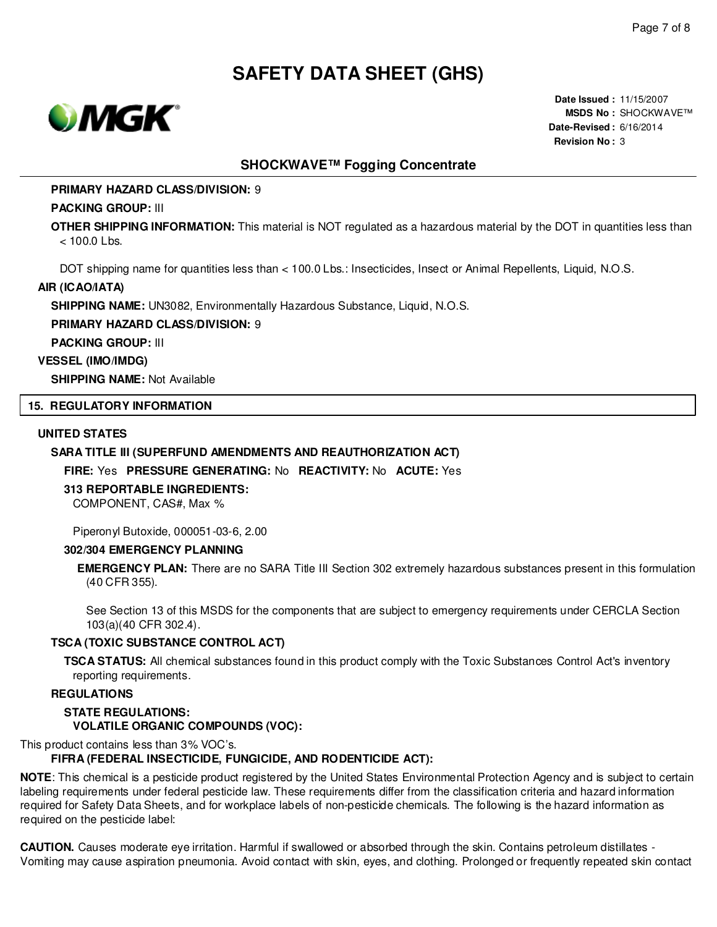

**Date Issued :** 11/15/2007 **MSDS No :** SHOCKWAVE™ **Date-Revised :** 6/16/2014 **Revision No :** 3

### **SHOCKWAVE™ Fogging Concentrate**

#### **PRIMARY HAZARD CLASS/DIVISION:** 9

#### **PACKING GROUP:** III

**OTHER SHIPPING INFORMATION:** This material is NOT regulated as a hazardous material by the DOT in quantities less than < 100.0 Lbs.

DOT shipping name for quantities less than < 100.0 Lbs.: Insecticides, Insect or Animal Repellents, Liquid, N.O.S.

#### **AIR (ICAO/IATA)**

**SHIPPING NAME:** UN3082, Environmentally Hazardous Substance, Liquid, N.O.S.

**PRIMARY HAZARD CLASS/DIVISION:** 9

**PACKING GROUP:** III

#### **VESSEL (IMO/IMDG)**

**SHIPPING NAME:** Not Available

#### **15. REGULATORY INFORMATION**

#### **UNITED STATES**

#### **SARA TITLE III (SUPERFUND AMENDMENTS AND REAUTHORIZATION ACT)**

**FIRE:** Yes **PRESSURE GENERATING:** No **REACTIVITY:** No **ACUTE:** Yes

### **313 REPORTABLE INGREDIENTS:**

COMPONENT, CAS#, Max %

Piperonyl Butoxide, 000051-03-6, 2.00

#### **302/304 EMERGENCY PLANNING**

**EMERGENCY PLAN:** There are no SARA Title III Section 302 extremely hazardous substances present in this formulation (40 CFR 355).

See Section 13 of this MSDS for the components that are subject to emergency requirements under CERCLA Section 103(a)(40 CFR 302.4).

### **TSCA (TOXIC SUBSTANCE CONTROL ACT)**

**TSCA STATUS:** All chemical substances found in this product comply with the Toxic Substances Control Act's inventory reporting requirements.

#### **REGULATIONS**

#### **STATE REGULATIONS: VOLATILE ORGANIC COMPOUNDS (VOC):**

This product contains less than 3% VOC's.

### **FIFRA (FEDERAL INSECTICIDE, FUNGICIDE, AND RODENTICIDE ACT):**

**NOTE**: This chemical is a pesticide product registered by the United States Environmental Protection Agency and is subject to certain labeling requirements under federal pesticide law. These requirements differ from the classification criteria and hazard information required for Safety Data Sheets, and for workplace labels of non-pesticide chemicals. The following is the hazard information as required on the pesticide label:

**CAUTION.** Causes moderate eye irritation. Harmful if swallowed or absorbed through the skin. Contains petroleum distillates - Vomiting may cause aspiration pneumonia. Avoid contact with skin, eyes, and clothing. Prolonged or frequently repeated skin contact